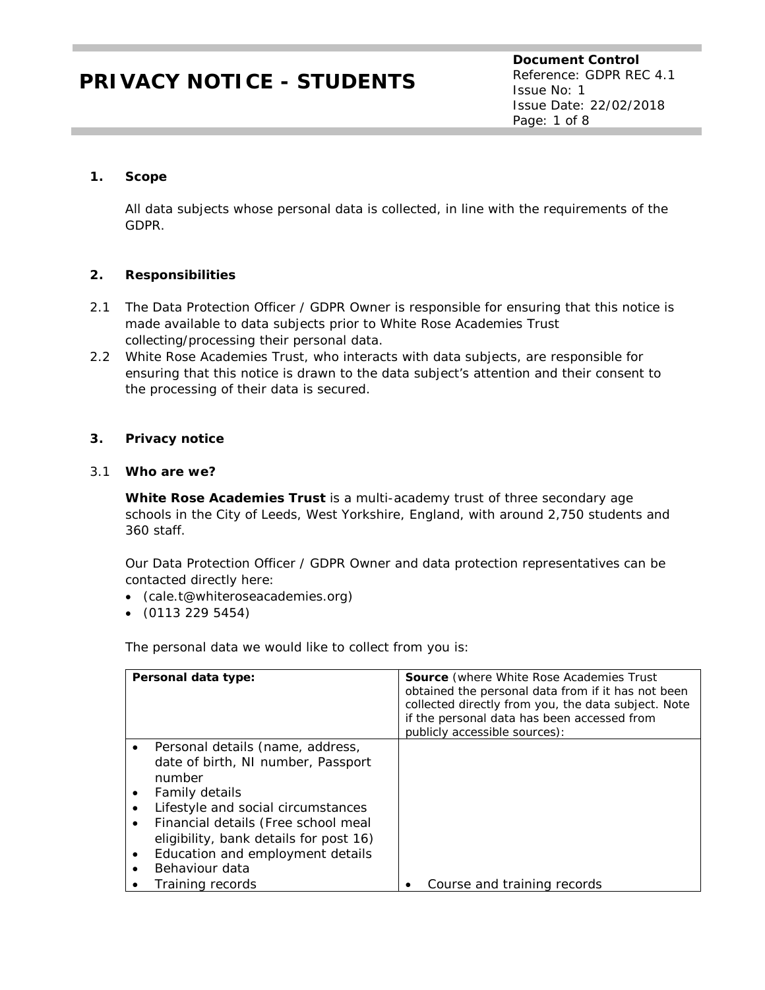**Document Control** Reference: GDPR REC 4.1 Issue No: 1 Issue Date: 22/02/2018 Page: 1 of 8

## **1. Scope**

All data subjects whose personal data is collected, in line with the requirements of the GDPR.

## **2. Responsibilities**

- 2.1 The Data Protection Officer / GDPR Owner is responsible for ensuring that this notice is made available to data subjects prior to White Rose Academies Trust collecting/processing their personal data.
- 2.2 White Rose Academies Trust, who interacts with data subjects, are responsible for ensuring that this notice is drawn to the data subject's attention and their consent to the processing of their data is secured.

### **3. Privacy notice**

#### 3.1 **Who are we?**

**White Rose Academies Trust** is a multi-academy trust of three secondary age schools in the City of Leeds, West Yorkshire, England, with around 2,750 students and 360 staff.

Our Data Protection Officer / GDPR Owner and data protection representatives can be contacted directly here:

- (cale.t@whiteroseacademies.org)
- (0113 229 5454)

The personal data we would like to collect from you is:

| Personal data type:                                                    | <b>Source</b> (where White Rose Academies Trust<br>obtained the personal data from if it has not been<br>collected directly from you, the data subject. Note<br>if the personal data has been accessed from<br>publicly accessible sources): |
|------------------------------------------------------------------------|----------------------------------------------------------------------------------------------------------------------------------------------------------------------------------------------------------------------------------------------|
| Personal details (name, address,<br>date of birth, NI number, Passport |                                                                                                                                                                                                                                              |
| number                                                                 |                                                                                                                                                                                                                                              |
| Family details                                                         |                                                                                                                                                                                                                                              |
| Lifestyle and social circumstances                                     |                                                                                                                                                                                                                                              |
| Financial details (Free school meal                                    |                                                                                                                                                                                                                                              |
| eligibility, bank details for post 16)                                 |                                                                                                                                                                                                                                              |
| Education and employment details                                       |                                                                                                                                                                                                                                              |
| Behaviour data                                                         |                                                                                                                                                                                                                                              |
| Training records                                                       | Course and training records                                                                                                                                                                                                                  |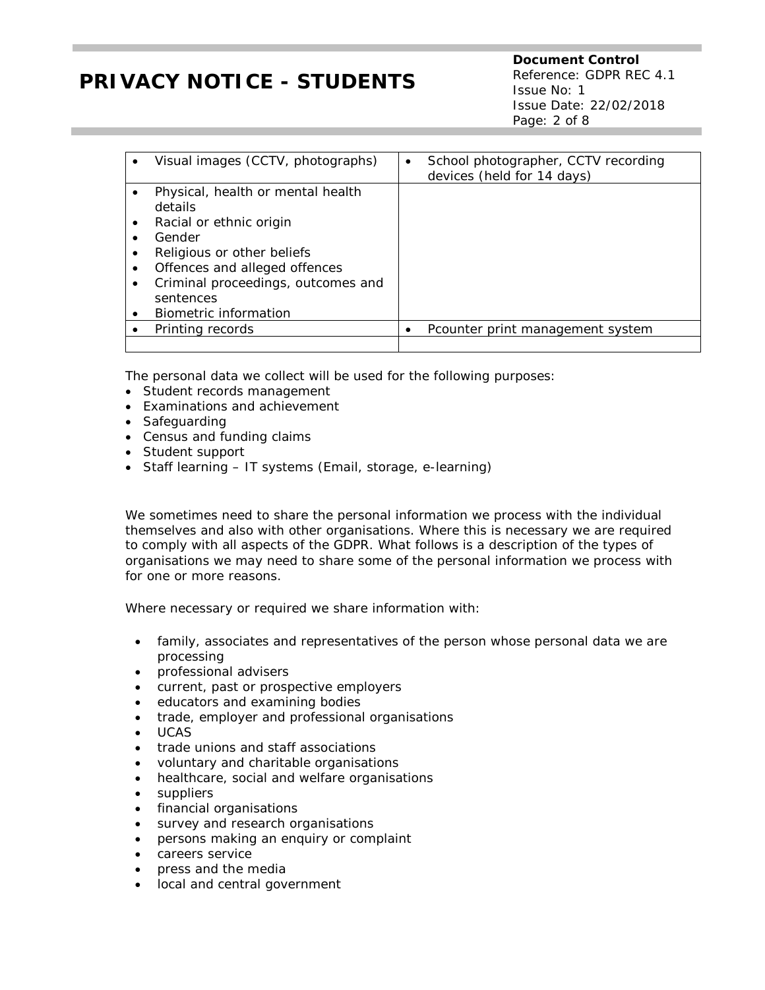**Document Control** Reference: GDPR REC 4.1 Issue No: 1 Issue Date: 22/02/2018 Page: 2 of 8

| Visual images (CCTV, photographs)<br>$\bullet$                                                                                                                                                                                                                                | School photographer, CCTV recording<br>$\bullet$<br>devices (held for 14 days) |
|-------------------------------------------------------------------------------------------------------------------------------------------------------------------------------------------------------------------------------------------------------------------------------|--------------------------------------------------------------------------------|
| Physical, health or mental health<br>details<br>Racial or ethnic origin<br>$\bullet$<br>Gender<br>$\bullet$<br>Religious or other beliefs<br>٠<br>Offences and alleged offences<br>$\bullet$<br>Criminal proceedings, outcomes and<br>٠<br>sentences<br>Biometric information |                                                                                |
| Printing records                                                                                                                                                                                                                                                              | Pcounter print management system                                               |
|                                                                                                                                                                                                                                                                               |                                                                                |

The personal data we collect will be used for the following purposes:

- Student records management
- Examinations and achievement
- Safeguarding
- Census and funding claims
- Student support
- Staff learning IT systems (Email, storage, e-learning)

We sometimes need to share the personal information we process with the individual themselves and also with other organisations. Where this is necessary we are required to comply with all aspects of the GDPR. What follows is a description of the types of organisations we may need to share some of the personal information we process with for one or more reasons.

Where necessary or required we share information with:

- family, associates and representatives of the person whose personal data we are processing
- professional advisers
- current, past or prospective employers
- educators and examining bodies
- trade, employer and professional organisations
- UCAS
- trade unions and staff associations
- voluntary and charitable organisations
- healthcare, social and welfare organisations
- suppliers
- financial organisations
- survey and research organisations
- persons making an enquiry or complaint
- careers service
- press and the media
- local and central government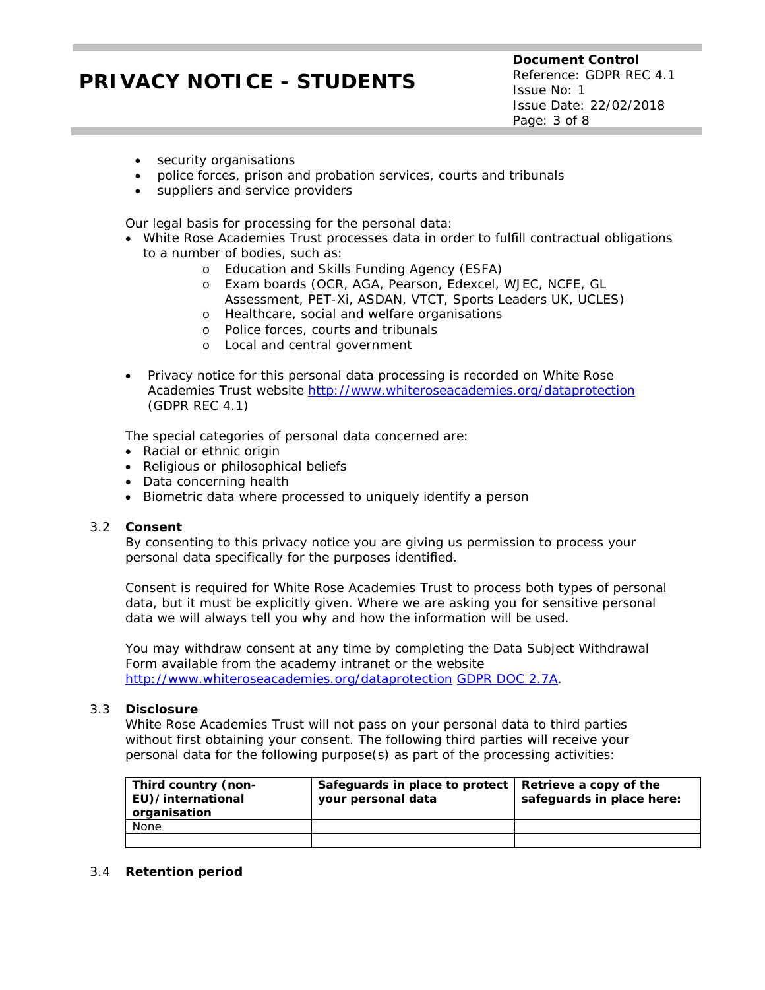**Document Control** Reference: GDPR REC 4.1 Issue No: 1 Issue Date: 22/02/2018 Page: 3 of 8

- security organisations
- police forces, prison and probation services, courts and tribunals
- suppliers and service providers

Our legal basis for processing for the personal data:

- White Rose Academies Trust processes data in order to fulfill contractual obligations to a number of bodies, such as:
	- o Education and Skills Funding Agency (ESFA)
	- o Exam boards (OCR, AGA, Pearson, Edexcel, WJEC, NCFE, GL Assessment, PET-Xi, ASDAN, VTCT, Sports Leaders UK, UCLES)
	- o Healthcare, social and welfare organisations
	- o Police forces, courts and tribunals
	- o Local and central government
- Privacy notice for this personal data processing is recorded on White Rose Academies Trust website<http://www.whiteroseacademies.org/dataprotection> (GDPR REC 4.1)

The special categories of personal data concerned are:

- Racial or ethnic origin
- Religious or philosophical beliefs
- Data concerning health
- Biometric data where processed to uniquely identify a person

#### 3.2 **Consent**

By consenting to this privacy notice you are giving us permission to process your personal data specifically for the purposes identified.

Consent is required for White Rose Academies Trust to process both types of personal data, but it must be explicitly given. Where we are asking you for sensitive personal data we will always tell you why and how the information will be used.

You may withdraw consent at any time by completing the Data Subject Withdrawal Form available from the academy intranet or the website <http://www.whiteroseacademies.org/dataprotection> *[GDPR DOC 2.7A](file://pl-san1/PL-StaffData/g.eland/My%20Documents/ITSS%20-%20GE%20Access/GDPR/GDPR%20Documentation/4850_SKU_GDPRToolkit_v2.0/temp_4850_SKU_GDPRToolkit_v2.0/GDPRDocuments/GDPR_DOC_2.7A.docm)*.

#### 3.3 **Disclosure**

White Rose Academies Trust will not pass on your personal data to third parties without first obtaining your consent. The following third parties will receive your personal data for the following purpose(s) as part of the processing activities:

| Third country (non-<br>EU)/international<br>organisation | Safeguards in place to protect   Retrieve a copy of the<br>your personal data | safeguards in place here: |
|----------------------------------------------------------|-------------------------------------------------------------------------------|---------------------------|
| None                                                     |                                                                               |                           |
|                                                          |                                                                               |                           |

#### 3.4 **Retention period**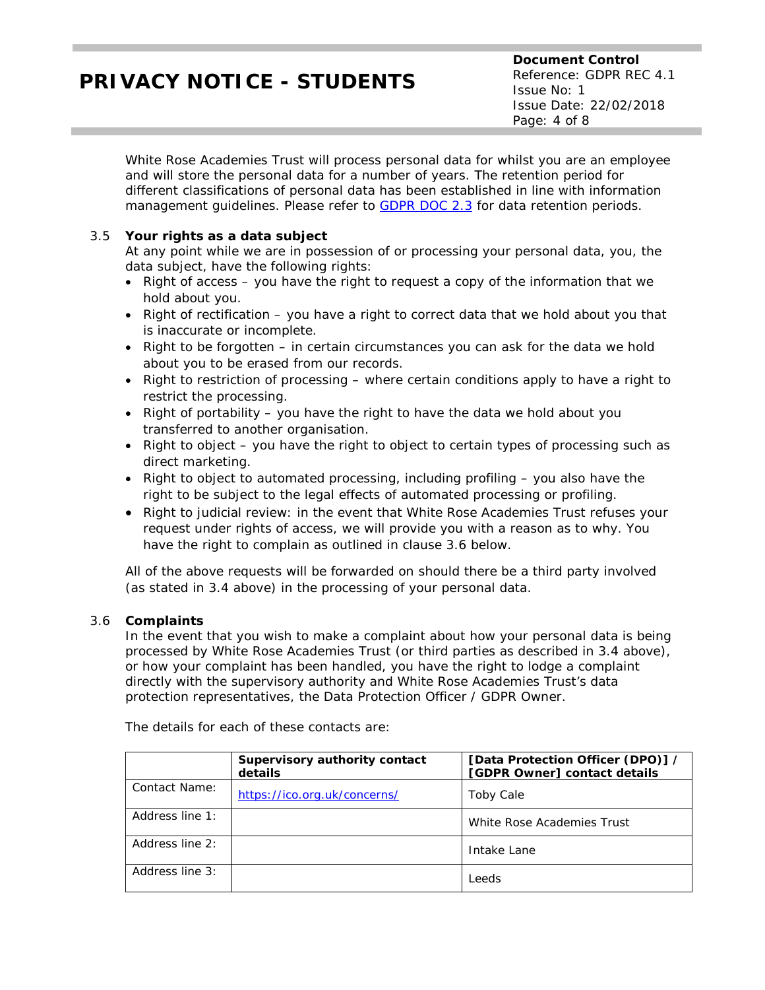White Rose Academies Trust will process personal data for whilst you are an employee and will store the personal data for a number of years. The retention period for different classifications of personal data has been established in line with information management guidelines. Please refer to *[GDPR DOC 2.3](file://pl-san1/PL-StaffData/g.eland/My%20Documents/ITSS%20-%20GE%20Access/GDPR/GDPR%20Documentation/4850_SKU_GDPRToolkit_v2.0/temp_4850_SKU_GDPRToolkit_v2.0/GDPRDocuments/GDPR_DOC_2.3.docm)* for data retention periods.

## 3.5 **Your rights as a data subject**

At any point while we are in possession of or processing your personal data, you, the data subject, have the following rights:

- Right of access you have the right to request a copy of the information that we hold about you.
- Right of rectification you have a right to correct data that we hold about you that is inaccurate or incomplete.
- Right to be forgotten in certain circumstances you can ask for the data we hold about you to be erased from our records.
- Right to restriction of processing where certain conditions apply to have a right to restrict the processing.
- Right of portability you have the right to have the data we hold about you transferred to another organisation.
- Right to object you have the right to object to certain types of processing such as direct marketing.
- Right to object to automated processing, including profiling you also have the right to be subject to the legal effects of automated processing or profiling.
- Right to judicial review: in the event that White Rose Academies Trust refuses your request under rights of access, we will provide you with a reason as to why. You have the right to complain as outlined in clause 3.6 below.

All of the above requests will be forwarded on should there be a third party involved (as stated in 3.4 above) in the processing of your personal data.

### 3.6 **Complaints**

In the event that you wish to make a complaint about how your personal data is being processed by White Rose Academies Trust (or third parties as described in 3.4 above), or how your complaint has been handled, you have the right to lodge a complaint directly with the supervisory authority and White Rose Academies Trust's data protection representatives, the Data Protection Officer / GDPR Owner.

|                 | Supervisory authority contact<br>details | [Data Protection Officer (DPO)] /<br>[GDPR Owner] contact details |
|-----------------|------------------------------------------|-------------------------------------------------------------------|
| Contact Name:   | https://ico.org.uk/concerns/             | Toby Cale                                                         |
| Address line 1: |                                          | White Rose Academies Trust                                        |
| Address line 2: |                                          | Intake Lane                                                       |
| Address line 3: |                                          | Leeds                                                             |

The details for each of these contacts are: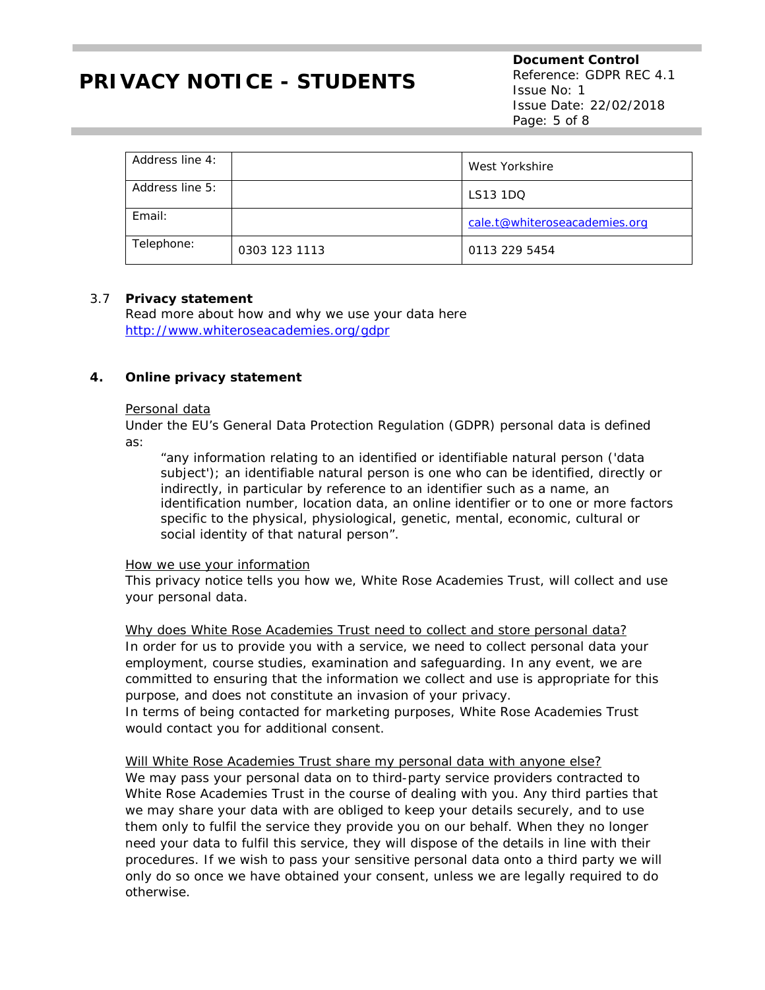**Document Control** Reference: GDPR REC 4.1 Issue No: 1 Issue Date: 22/02/2018 Page: 5 of 8

| Address line 4: |               | West Yorkshire                |
|-----------------|---------------|-------------------------------|
| Address line 5: |               | LS13 1DQ                      |
| Email:          |               | cale.t@whiteroseacademies.org |
| Telephone:      | 0303 123 1113 | 0113 229 5454                 |

#### 3.7 **Privacy statement**

Read more about how and why we use your data here <http://www.whiteroseacademies.org/gdpr>

#### **4. Online privacy statement**

#### Personal data

Under the EU's General Data Protection Regulation (GDPR) personal data is defined as:

"any information relating to an identified or identifiable natural person ('data subject'); an identifiable natural person is one who can be identified, directly or indirectly, in particular by reference to an identifier such as a name, an identification number, location data, an online identifier or to one or more factors specific to the physical, physiological, genetic, mental, economic, cultural or social identity of that natural person".

#### How we use your information

This privacy notice tells you how we, White Rose Academies Trust, will collect and use your personal data.

Why does White Rose Academies Trust need to collect and store personal data? In order for us to provide you with a service, we need to collect personal data your employment, course studies, examination and safeguarding. In any event, we are committed to ensuring that the information we collect and use is appropriate for this purpose, and does not constitute an invasion of your privacy.

In terms of being contacted for marketing purposes, White Rose Academies Trust would contact you for additional consent.

#### Will White Rose Academies Trust share my personal data with anyone else?

We may pass your personal data on to third-party service providers contracted to White Rose Academies Trust in the course of dealing with you. Any third parties that we may share your data with are obliged to keep your details securely, and to use them only to fulfil the service they provide you on our behalf. When they no longer need your data to fulfil this service, they will dispose of the details in line with their procedures. If we wish to pass your sensitive personal data onto a third party we will only do so once we have obtained your consent, unless we are legally required to do otherwise.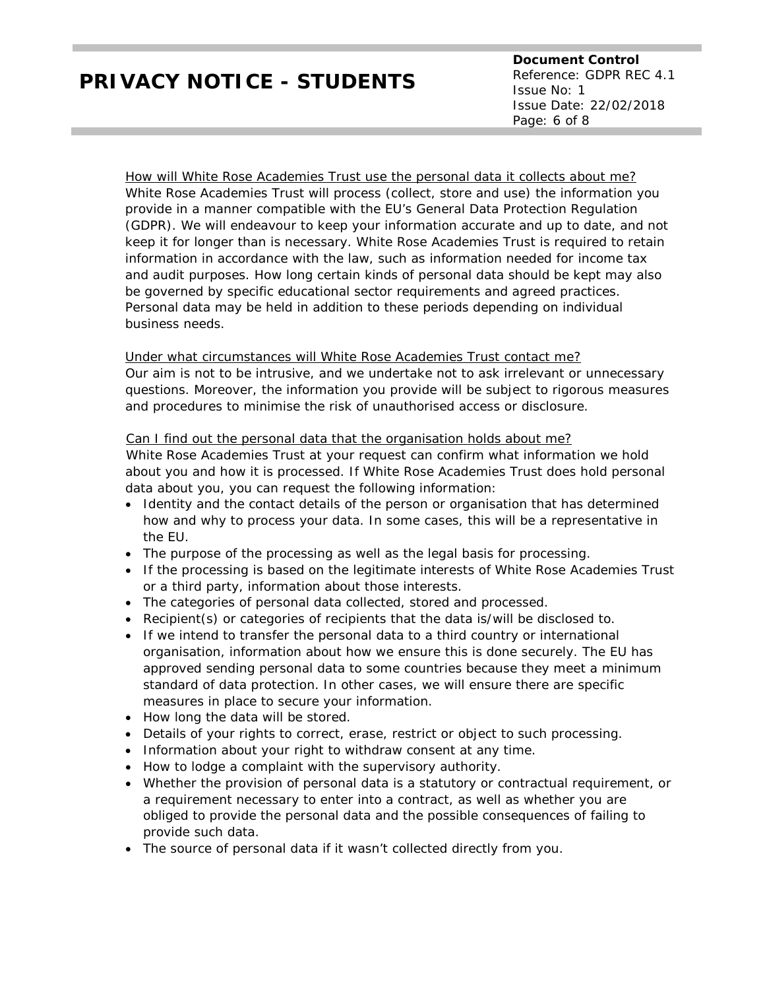**Document Control** Reference: GDPR REC 4.1 Issue No: 1 Issue Date: 22/02/2018 Page: 6 of 8

How will White Rose Academies Trust use the personal data it collects about me? White Rose Academies Trust will process (collect, store and use) the information you provide in a manner compatible with the EU's General Data Protection Regulation (GDPR). We will endeavour to keep your information accurate and up to date, and not keep it for longer than is necessary. White Rose Academies Trust is required to retain information in accordance with the law, such as information needed for income tax and audit purposes. How long certain kinds of personal data should be kept may also be governed by specific educational sector requirements and agreed practices. Personal data may be held in addition to these periods depending on individual business needs.

### Under what circumstances will White Rose Academies Trust contact me?

Our aim is not to be intrusive, and we undertake not to ask irrelevant or unnecessary questions. Moreover, the information you provide will be subject to rigorous measures and procedures to minimise the risk of unauthorised access or disclosure.

#### Can I find out the personal data that the organisation holds about me?

White Rose Academies Trust at your request can confirm what information we hold about you and how it is processed. If White Rose Academies Trust does hold personal data about you, you can request the following information:

- Identity and the contact details of the person or organisation that has determined how and why to process your data. In some cases, this will be a representative in the EU.
- The purpose of the processing as well as the legal basis for processing.
- If the processing is based on the legitimate interests of White Rose Academies Trust or a third party, information about those interests.
- The categories of personal data collected, stored and processed.
- Recipient(s) or categories of recipients that the data is/will be disclosed to.
- If we intend to transfer the personal data to a third country or international organisation, information about how we ensure this is done securely. The EU has approved sending personal data to some countries because they meet a minimum standard of data protection. In other cases, we will ensure there are specific measures in place to secure your information.
- How long the data will be stored.
- Details of your rights to correct, erase, restrict or object to such processing.
- Information about your right to withdraw consent at any time.
- How to lodge a complaint with the supervisory authority.
- Whether the provision of personal data is a statutory or contractual requirement, or a requirement necessary to enter into a contract, as well as whether you are obliged to provide the personal data and the possible consequences of failing to provide such data.
- The source of personal data if it wasn't collected directly from you.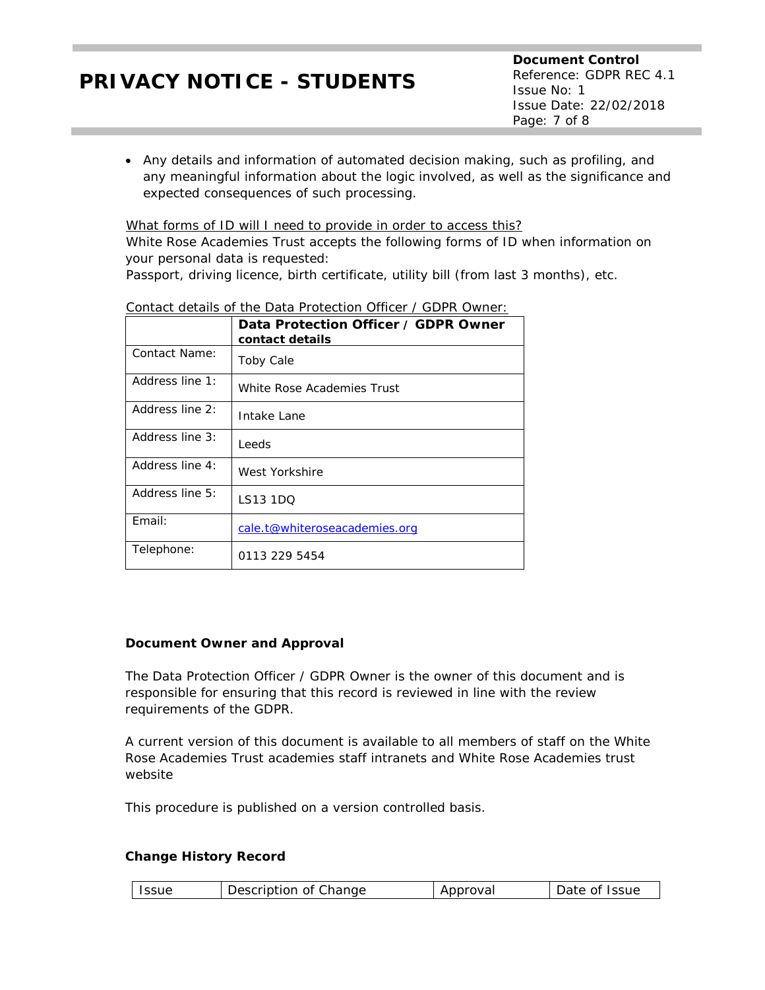• Any details and information of automated decision making, such as profiling, and any meaningful information about the logic involved, as well as the significance and expected consequences of such processing.

What forms of ID will I need to provide in order to access this? White Rose Academies Trust accepts the following forms of ID when information on your personal data is requested:

Passport, driving licence, birth certificate, utility bill (from last 3 months), etc.

|                 | Data Protection Officer / GDPR Owner<br>contact details |
|-----------------|---------------------------------------------------------|
| Contact Name:   | <b>Toby Cale</b>                                        |
| Address line 1: | White Rose Academies Trust                              |
| Address line 2: | Intake Lane                                             |
| Address line 3: | Leeds                                                   |
| Address line 4: | West Yorkshire                                          |
| Address line 5: | LS13 1DO                                                |
| Email:          | cale.t@whiteroseacademies.org                           |
| Telephone:      | 0113 229 5454                                           |

## Contact details of the Data Protection Officer / GDPR Owner:

### *Document Owner and Approval*

The Data Protection Officer / GDPR Owner is the owner of this document and is responsible for ensuring that this record is reviewed in line with the review requirements of the GDPR.

A current version of this document is available to all members of staff on the White Rose Academies Trust academies staff intranets and White Rose Academies trust website

This procedure is published on a version controlled basis.

### **Change History Record**

| Description of Change<br>Date of Issue<br><b>Issue</b><br>Approval |
|--------------------------------------------------------------------|
|--------------------------------------------------------------------|